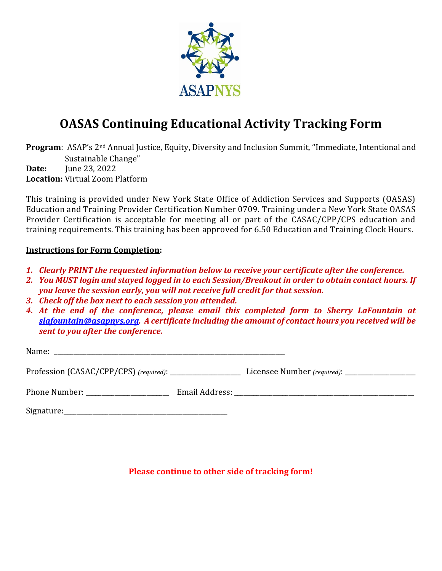

## **OASAS Continuing Educational Activity Tracking Form**

**Program**: ASAP's 2nd Annual Justice, Equity, Diversity and Inclusion Summit, "Immediate, Intentional and Sustainable Change" **Date:** June 23, 2022 **Location:** Virtual Zoom Platform

This training is provided under New York State Office of Addiction Services and Supports (OASAS) Education and Training Provider Certification Number 0709. Training under a New York State OASAS Provider Certification is acceptable for meeting all or part of the CASAC/CPP/CPS education and training requirements. This training has been approved for 6.50 Education and Training Clock Hours.

## **Instructions for Form Completion:**

- *1. Clearly PRINT the requested information below to receive your certificate after the conference.*
- *2. You MUST login and stayed logged in to each Session/Breakout in order to obtain contact hours. If you leave the session early, you will not receive full credit for that session.*
- *3. Check off the box next to each session you attended.*
- *4. At the end of the conference, please email this completed form to Sherry LaFountain at [slafountain@asapnys.org.](mailto:slafountain@asapnys.org) A certificate including the amount of contact hours you received will be sent to you after the conference.*

| Name:      |                                                 |  |
|------------|-------------------------------------------------|--|
|            | Licensee Number (required): ___________________ |  |
|            |                                                 |  |
| Signature: |                                                 |  |

**Please continue to other side of tracking form!**